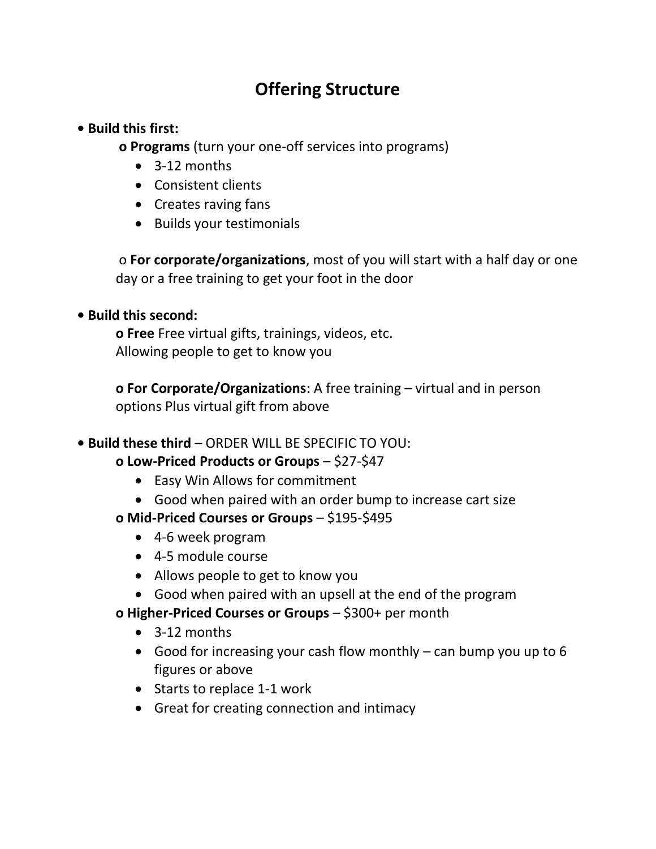# **Offering Structure**

#### **• Build this first:**

**o Programs** (turn your one-off services into programs)

- 3-12 months
- Consistent clients
- Creates raving fans
- Builds your testimonials

o **For corporate/organizations**, most of you will start with a half day or one day or a free training to get your foot in the door

## **• Build this second:**

**o Free** Free virtual gifts, trainings, videos, etc. Allowing people to get to know you

**o For Corporate/Organizations**: A free training – virtual and in person options Plus virtual gift from above

## **• Build these third** – ORDER WILL BE SPECIFIC TO YOU:

## **o Low-Priced Products or Groups** – \$27-\$47

- Easy Win Allows for commitment
- Good when paired with an order bump to increase cart size
- **o Mid-Priced Courses or Groups** \$195-\$495
	- 4-6 week program
	- 4-5 module course
	- Allows people to get to know you
	- Good when paired with an upsell at the end of the program
- **o Higher-Priced Courses or Groups** \$300+ per month
	- 3-12 months
	- Good for increasing your cash flow monthly can bump you up to 6 figures or above
	- Starts to replace 1-1 work
	- Great for creating connection and intimacy